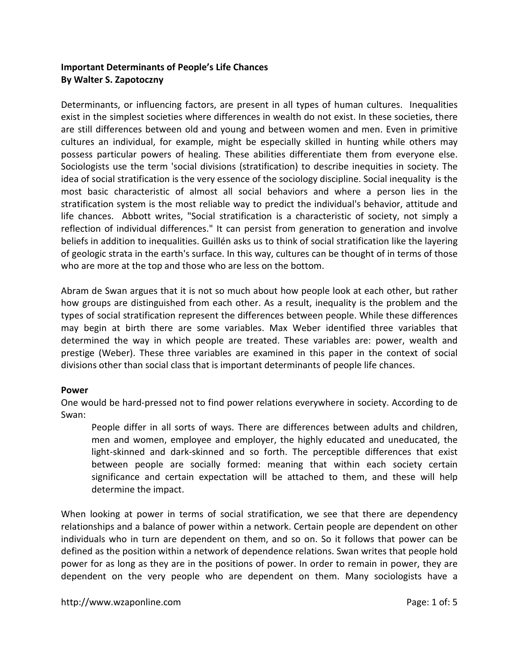# **Important Determinants of People's Life Chances By Walter S. Zapotoczny**

Determinants, or influencing factors, are present in all types of human cultures. Inequalities exist in the simplest societies where differences in wealth do not exist. In these societies, there are still differences between old and young and between women and men. Even in primitive cultures an individual, for example, might be especially skilled in hunting while others may possess particular powers of healing. These abilities differentiate them from everyone else. Sociologists use the term 'social divisions (stratification) to describe inequities in society. The idea of social stratification is the very essence of the sociology discipline. Social inequality is the most basic characteristic of almost all social behaviors and where a person lies in the stratification system is the most reliable way to predict the individual's behavior, attitude and life chances. Abbott writes, "Social stratification is a characteristic of society, not simply a reflection of individual differences." It can persist from generation to generation and involve beliefs in addition to inequalities. Guillén asks us to think of social stratification like the layering of geologic strata in the earth's surface. In this way, cultures can be thought of in terms of those who are more at the top and those who are less on the bottom.

Abram de Swan argues that it is not so much about how people look at each other, but rather how groups are distinguished from each other. As a result, inequality is the problem and the types of social stratification represent the differences between people. While these differences may begin at birth there are some variables. Max Weber identified three variables that determined the way in which people are treated. These variables are: power, wealth and prestige (Weber). These three variables are examined in this paper in the context of social divisions other than social class that is important determinants of people life chances.

### **Power**

One would be hard-pressed not to find power relations everywhere in society. According to de Swan:

People differ in all sorts of ways. There are differences between adults and children, men and women, employee and employer, the highly educated and uneducated, the light-skinned and dark-skinned and so forth. The perceptible differences that exist between people are socially formed: meaning that within each society certain significance and certain expectation will be attached to them, and these will help determine the impact.

When looking at power in terms of social stratification, we see that there are dependency relationships and a balance of power within a network. Certain people are dependent on other individuals who in turn are dependent on them, and so on. So it follows that power can be defined as the position within a network of dependence relations. Swan writes that people hold power for as long as they are in the positions of power. In order to remain in power, they are dependent on the very people who are dependent on them. Many sociologists have a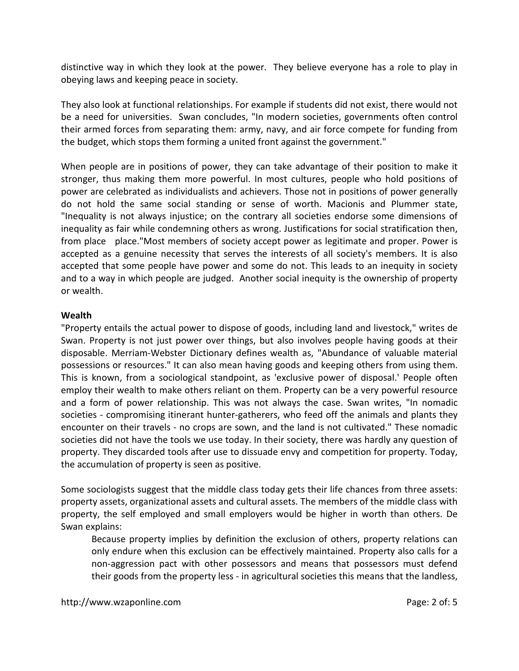distinctive way in which they look at the power. They believe everyone has a role to play in obeying laws and keeping peace in society.

They also look at functional relationships. For example if students did not exist, there would not be a need for universities. Swan concludes, "In modern societies, governments often control their armed forces from separating them: army, navy, and air force compete for funding from the budget, which stops them forming a united front against the government."

When people are in positions of power, they can take advantage of their position to make it stronger, thus making them more powerful. In most cultures, people who hold positions of power are celebrated as individualists and achievers. Those not in positions of power generally do not hold the same social standing or sense of worth. Macionis and Plummer state, "Inequality is not always injustice; on the contrary all societies endorse some dimensions of inequality as fair while condemning others as wrong. Justifications for social stratification then, from place place."Most members of society accept power as legitimate and proper. Power is accepted as a genuine necessity that serves the interests of all society's members. It is also accepted that some people have power and some do not. This leads to an inequity in society and to a way in which people are judged. Another social inequity is the ownership of property or wealth.

### **Wealth**

"Property entails the actual power to dispose of goods, including land and livestock," writes de Swan. Property is not just power over things, but also involves people having goods at their disposable. Merriam-Webster Dictionary defines wealth as, "Abundance of valuable material possessions or resources." It can also mean having goods and keeping others from using them. This is known, from a sociological standpoint, as 'exclusive power of disposal.' People often employ their wealth to make others reliant on them. Property can be a very powerful resource and a form of power relationship. This was not always the case. Swan writes, "In nomadic societies - compromising itinerant hunter-gatherers, who feed off the animals and plants they encounter on their travels - no crops are sown, and the land is not cultivated." These nomadic societies did not have the tools we use today. In their society, there was hardly any question of property. They discarded tools after use to dissuade envy and competition for property. Today, the accumulation of property is seen as positive.

Some sociologists suggest that the middle class today gets their life chances from three assets: property assets, organizational assets and cultural assets. The members of the middle class with property, the self employed and small employers would be higher in worth than others. De Swan explains:

Because property implies by definition the exclusion of others, property relations can only endure when this exclusion can be effectively maintained. Property also calls for a non-aggression pact with other possessors and means that possessors must defend their goods from the property less - in agricultural societies this means that the landless,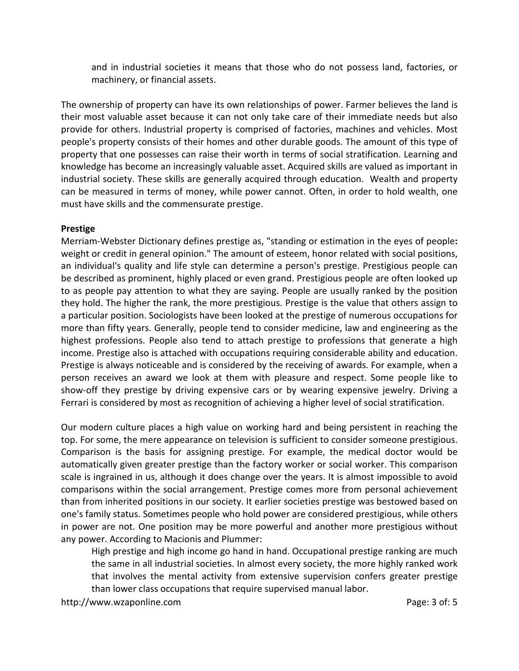and in industrial societies it means that those who do not possess land, factories, or machinery, or financial assets.

The ownership of property can have its own relationships of power. Farmer believes the land is their most valuable asset because it can not only take care of their immediate needs but also provide for others. Industrial property is comprised of factories, machines and vehicles. Most people's property consists of their homes and other durable goods. The amount of this type of property that one possesses can raise their worth in terms of social stratification. Learning and knowledge has become an increasingly valuable asset. Acquired skills are valued as important in industrial society. These skills are generally acquired through education. Wealth and property can be measured in terms of money, while power cannot. Often, in order to hold wealth, one must have skills and the commensurate prestige.

### **Prestige**

Merriam-Webster Dictionary defines prestige as, "standing or estimation in the eyes of people**:** weight or credit in general opinion." The amount of esteem, honor related with social positions, an individual's quality and life style can determine a person's prestige. Prestigious people can be described as prominent, highly placed or even grand. Prestigious people are often looked up to as people pay attention to what they are saying. People are usually ranked by the position they hold. The higher the rank, the more prestigious. Prestige is the value that others assign to a particular position. Sociologists have been looked at the prestige of numerous occupations for more than fifty years. Generally, people tend to consider medicine, law and engineering as the highest professions. People also tend to attach prestige to professions that generate a high income. Prestige also is attached with occupations requiring considerable ability and education. Prestige is always noticeable and is considered by the receiving of awards. For example, when a person receives an award we look at them with pleasure and respect. Some people like to show-off they prestige by driving expensive cars or by wearing expensive jewelry. Driving a Ferrari is considered by most as recognition of achieving a higher level of social stratification.

Our modern culture places a high value on working hard and being persistent in reaching the top. For some, the mere appearance on television is sufficient to consider someone prestigious. Comparison is the basis for assigning prestige. For example, the medical doctor would be automatically given greater prestige than the factory worker or social worker. This comparison scale is ingrained in us, although it does change over the years. It is almost impossible to avoid comparisons within the social arrangement. Prestige comes more from personal achievement than from inherited positions in our society. It earlier societies prestige was bestowed based on one's family status. Sometimes people who hold power are considered prestigious, while others in power are not. One position may be more powerful and another more prestigious without any power. According to Macionis and Plummer:

High prestige and high income go hand in hand. Occupational prestige ranking are much the same in all industrial societies. In almost every society, the more highly ranked work that involves the mental activity from extensive supervision confers greater prestige than lower class occupations that require supervised manual labor.

http://www.wzaponline.com example and the page: 3 of: 5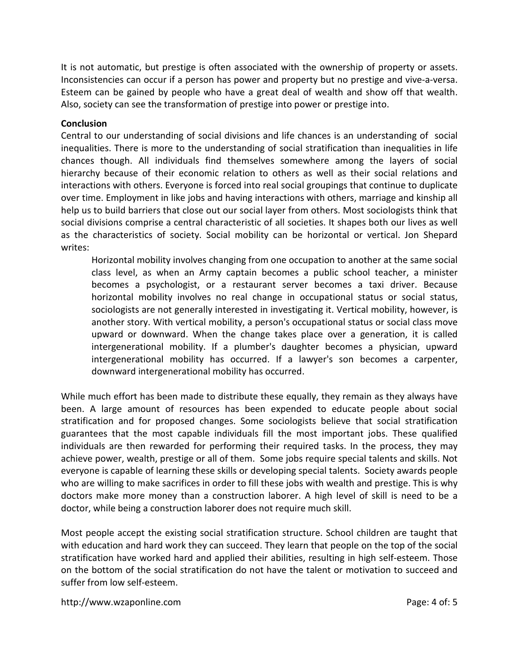It is not automatic, but prestige is often associated with the ownership of property or assets. Inconsistencies can occur if a person has power and property but no prestige and vive-a-versa. Esteem can be gained by people who have a great deal of wealth and show off that wealth. Also, society can see the transformation of prestige into power or prestige into.

## **Conclusion**

Central to our understanding of social divisions and life chances is an understanding of social inequalities. There is more to the understanding of social stratification than inequalities in life chances though. All individuals find themselves somewhere among the layers of social hierarchy because of their economic relation to others as well as their social relations and interactions with others. Everyone is forced into real social groupings that continue to duplicate over time. Employment in like jobs and having interactions with others, marriage and kinship all help us to build barriers that close out our social layer from others. Most sociologists think that social divisions comprise a central characteristic of all societies. It shapes both our lives as well as the characteristics of society. Social mobility can be horizontal or vertical. Jon Shepard writes:

Horizontal mobility involves changing from one occupation to another at the same social class level, as when an Army captain becomes a public school teacher, a minister becomes a psychologist, or a restaurant server becomes a taxi driver. Because horizontal mobility involves no real change in occupational status or social status, sociologists are not generally interested in investigating it. Vertical mobility, however, is another story. With vertical mobility, a person's occupational status or social class move upward or downward. When the change takes place over a generation, it is called intergenerational mobility. If a plumber's daughter becomes a physician, upward intergenerational mobility has occurred. If a lawyer's son becomes a carpenter, downward intergenerational mobility has occurred.

While much effort has been made to distribute these equally, they remain as they always have been. A large amount of resources has been expended to educate people about social stratification and for proposed changes. Some sociologists believe that social stratification guarantees that the most capable individuals fill the most important jobs. These qualified individuals are then rewarded for performing their required tasks. In the process, they may achieve power, wealth, prestige or all of them. Some jobs require special talents and skills. Not everyone is capable of learning these skills or developing special talents. Society awards people who are willing to make sacrifices in order to fill these jobs with wealth and prestige. This is why doctors make more money than a construction laborer. A high level of skill is need to be a doctor, while being a construction laborer does not require much skill.

Most people accept the existing social stratification structure. School children are taught that with education and hard work they can succeed. They learn that people on the top of the social stratification have worked hard and applied their abilities, resulting in high self-esteem. Those on the bottom of the social stratification do not have the talent or motivation to succeed and suffer from low self-esteem.

http://www.wzaponline.com example and the page: 4 of: 5